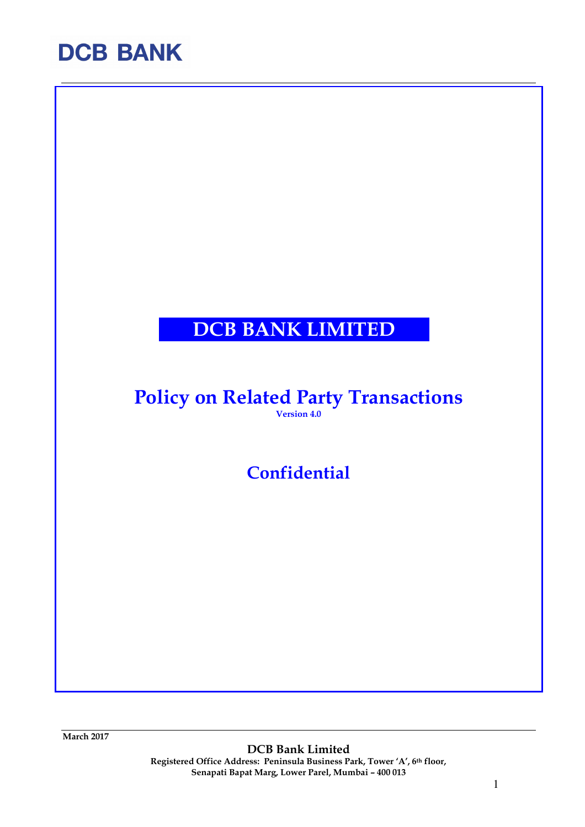### DCB BANK LIMITED

### Policy on Related Party Transactions Version 4.0

**Confidential** 

March 2017

DCB Bank Limited Registered Office Address: Peninsula Business Park, Tower 'A', 6th floor, Senapati Bapat Marg, Lower Parel, Mumbai – 400 013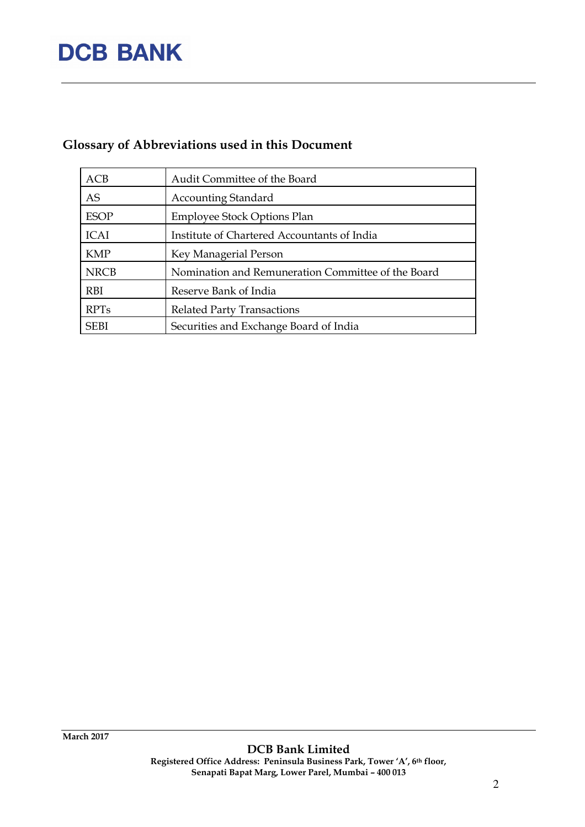### Glossary of Abbreviations used in this Document

| ACB         | Audit Committee of the Board                       |
|-------------|----------------------------------------------------|
| <b>AS</b>   | <b>Accounting Standard</b>                         |
| <b>ESOP</b> | <b>Employee Stock Options Plan</b>                 |
| <b>ICAI</b> | Institute of Chartered Accountants of India        |
| <b>KMP</b>  | Key Managerial Person                              |
| <b>NRCB</b> | Nomination and Remuneration Committee of the Board |
| <b>RBI</b>  | Reserve Bank of India                              |
| <b>RPTs</b> | <b>Related Party Transactions</b>                  |
| <b>SEBI</b> | Securities and Exchange Board of India             |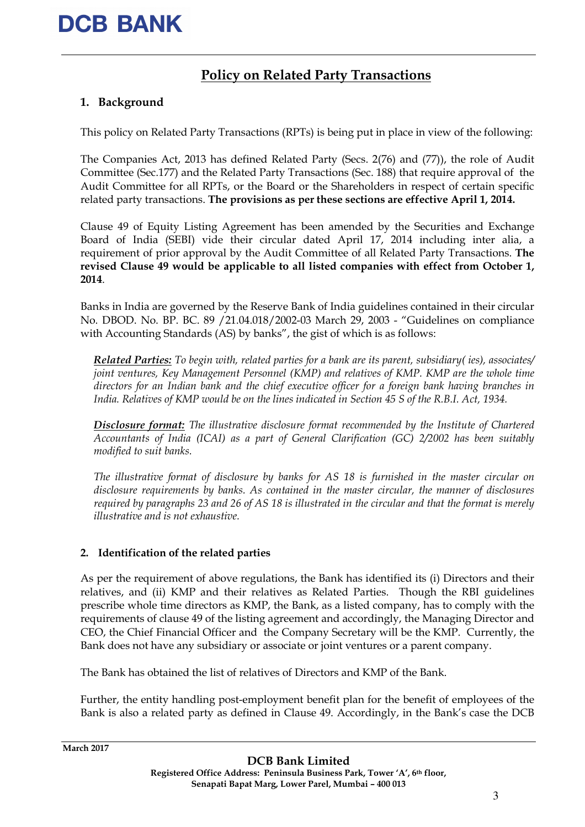### Policy on Related Party Transactions

#### 1. Background

This policy on Related Party Transactions (RPTs) is being put in place in view of the following:

The Companies Act, 2013 has defined Related Party (Secs. 2(76) and (77)), the role of Audit Committee (Sec.177) and the Related Party Transactions (Sec. 188) that require approval of the Audit Committee for all RPTs, or the Board or the Shareholders in respect of certain specific related party transactions. The provisions as per these sections are effective April 1, 2014.

Clause 49 of Equity Listing Agreement has been amended by the Securities and Exchange Board of India (SEBI) vide their circular dated April 17, 2014 including inter alia, a requirement of prior approval by the Audit Committee of all Related Party Transactions. The revised Clause 49 would be applicable to all listed companies with effect from October 1, 2014.

Banks in India are governed by the Reserve Bank of India guidelines contained in their circular No. DBOD. No. BP. BC. 89 /21.04.018/2002-03 March 29, 2003 - "Guidelines on compliance with Accounting Standards (AS) by banks", the gist of which is as follows:

Related Parties: To begin with, related parties for a bank are its parent, subsidiary( ies), associates/ joint ventures, Key Management Personnel (KMP) and relatives of KMP. KMP are the whole time directors for an Indian bank and the chief executive officer for a foreign bank having branches in India. Relatives of KMP would be on the lines indicated in Section 45 S of the R.B.I. Act, 1934.

Disclosure format: The illustrative disclosure format recommended by the Institute of Chartered Accountants of India (ICAI) as a part of General Clarification (GC) 2/2002 has been suitably modified to suit banks.

The illustrative format of disclosure by banks for AS 18 is furnished in the master circular on disclosure requirements by banks. As contained in the master circular, the manner of disclosures required by paragraphs 23 and 26 of AS 18 is illustrated in the circular and that the format is merely illustrative and is not exhaustive.

#### 2. Identification of the related parties

As per the requirement of above regulations, the Bank has identified its (i) Directors and their relatives, and (ii) KMP and their relatives as Related Parties. Though the RBI guidelines prescribe whole time directors as KMP, the Bank, as a listed company, has to comply with the requirements of clause 49 of the listing agreement and accordingly, the Managing Director and CEO, the Chief Financial Officer and the Company Secretary will be the KMP. Currently, the Bank does not have any subsidiary or associate or joint ventures or a parent company.

The Bank has obtained the list of relatives of Directors and KMP of the Bank.

Further, the entity handling post-employment benefit plan for the benefit of employees of the Bank is also a related party as defined in Clause 49. Accordingly, in the Bank's case the DCB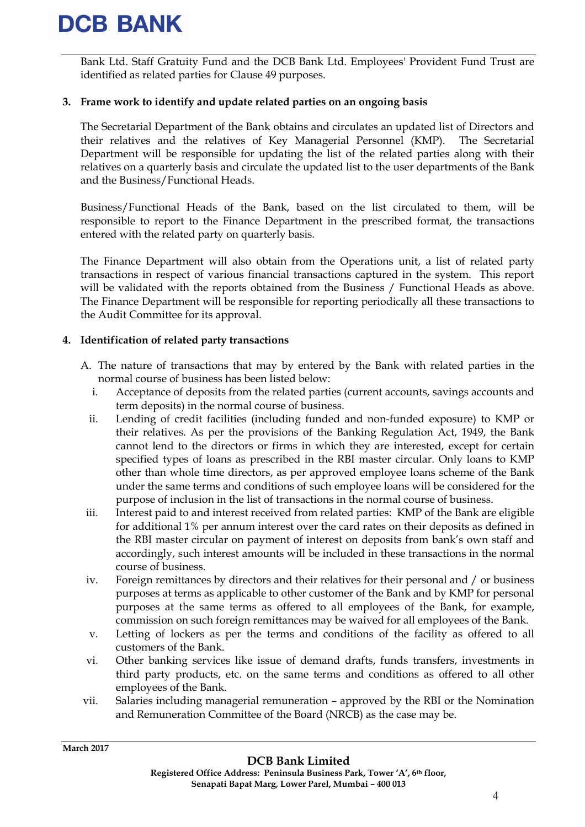Bank Ltd. Staff Gratuity Fund and the DCB Bank Ltd. Employees' Provident Fund Trust are identified as related parties for Clause 49 purposes.

#### 3. Frame work to identify and update related parties on an ongoing basis

The Secretarial Department of the Bank obtains and circulates an updated list of Directors and their relatives and the relatives of Key Managerial Personnel (KMP). The Secretarial Department will be responsible for updating the list of the related parties along with their relatives on a quarterly basis and circulate the updated list to the user departments of the Bank and the Business/Functional Heads.

Business/Functional Heads of the Bank, based on the list circulated to them, will be responsible to report to the Finance Department in the prescribed format, the transactions entered with the related party on quarterly basis.

The Finance Department will also obtain from the Operations unit, a list of related party transactions in respect of various financial transactions captured in the system. This report will be validated with the reports obtained from the Business / Functional Heads as above. The Finance Department will be responsible for reporting periodically all these transactions to the Audit Committee for its approval.

#### 4. Identification of related party transactions

- A. The nature of transactions that may by entered by the Bank with related parties in the normal course of business has been listed below:
	- i. Acceptance of deposits from the related parties (current accounts, savings accounts and term deposits) in the normal course of business.
	- ii. Lending of credit facilities (including funded and non-funded exposure) to KMP or their relatives. As per the provisions of the Banking Regulation Act, 1949, the Bank cannot lend to the directors or firms in which they are interested, except for certain specified types of loans as prescribed in the RBI master circular. Only loans to KMP other than whole time directors, as per approved employee loans scheme of the Bank under the same terms and conditions of such employee loans will be considered for the purpose of inclusion in the list of transactions in the normal course of business.
	- iii. Interest paid to and interest received from related parties: KMP of the Bank are eligible for additional 1% per annum interest over the card rates on their deposits as defined in the RBI master circular on payment of interest on deposits from bank's own staff and accordingly, such interest amounts will be included in these transactions in the normal course of business.
	- iv. Foreign remittances by directors and their relatives for their personal and / or business purposes at terms as applicable to other customer of the Bank and by KMP for personal purposes at the same terms as offered to all employees of the Bank, for example, commission on such foreign remittances may be waived for all employees of the Bank.
	- v. Letting of lockers as per the terms and conditions of the facility as offered to all customers of the Bank.
	- vi. Other banking services like issue of demand drafts, funds transfers, investments in third party products, etc. on the same terms and conditions as offered to all other employees of the Bank.
- vii. Salaries including managerial remuneration approved by the RBI or the Nomination and Remuneration Committee of the Board (NRCB) as the case may be.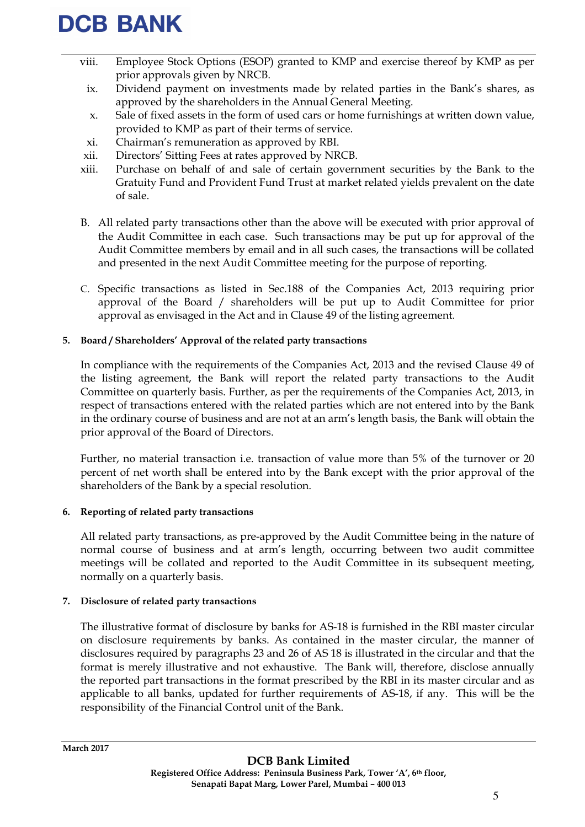- viii. Employee Stock Options (ESOP) granted to KMP and exercise thereof by KMP as per prior approvals given by NRCB.
	- ix. Dividend payment on investments made by related parties in the Bank's shares, as approved by the shareholders in the Annual General Meeting.
	- x. Sale of fixed assets in the form of used cars or home furnishings at written down value, provided to KMP as part of their terms of service.
	- xi. Chairman's remuneration as approved by RBI.
- xii. Directors' Sitting Fees at rates approved by NRCB.
- xiii. Purchase on behalf of and sale of certain government securities by the Bank to the Gratuity Fund and Provident Fund Trust at market related yields prevalent on the date of sale.
- B. All related party transactions other than the above will be executed with prior approval of the Audit Committee in each case. Such transactions may be put up for approval of the Audit Committee members by email and in all such cases, the transactions will be collated and presented in the next Audit Committee meeting for the purpose of reporting.
- C. Specific transactions as listed in Sec.188 of the Companies Act, 2013 requiring prior approval of the Board / shareholders will be put up to Audit Committee for prior approval as envisaged in the Act and in Clause 49 of the listing agreement.

#### 5. Board / Shareholders' Approval of the related party transactions

In compliance with the requirements of the Companies Act, 2013 and the revised Clause 49 of the listing agreement, the Bank will report the related party transactions to the Audit Committee on quarterly basis. Further, as per the requirements of the Companies Act, 2013, in respect of transactions entered with the related parties which are not entered into by the Bank in the ordinary course of business and are not at an arm's length basis, the Bank will obtain the prior approval of the Board of Directors.

Further, no material transaction i.e. transaction of value more than 5% of the turnover or 20 percent of net worth shall be entered into by the Bank except with the prior approval of the shareholders of the Bank by a special resolution.

#### 6. Reporting of related party transactions

All related party transactions, as pre-approved by the Audit Committee being in the nature of normal course of business and at arm's length, occurring between two audit committee meetings will be collated and reported to the Audit Committee in its subsequent meeting, normally on a quarterly basis.

#### 7. Disclosure of related party transactions

The illustrative format of disclosure by banks for AS-18 is furnished in the RBI master circular on disclosure requirements by banks. As contained in the master circular, the manner of disclosures required by paragraphs 23 and 26 of AS 18 is illustrated in the circular and that the format is merely illustrative and not exhaustive. The Bank will, therefore, disclose annually the reported part transactions in the format prescribed by the RBI in its master circular and as applicable to all banks, updated for further requirements of AS-18, if any. This will be the responsibility of the Financial Control unit of the Bank.